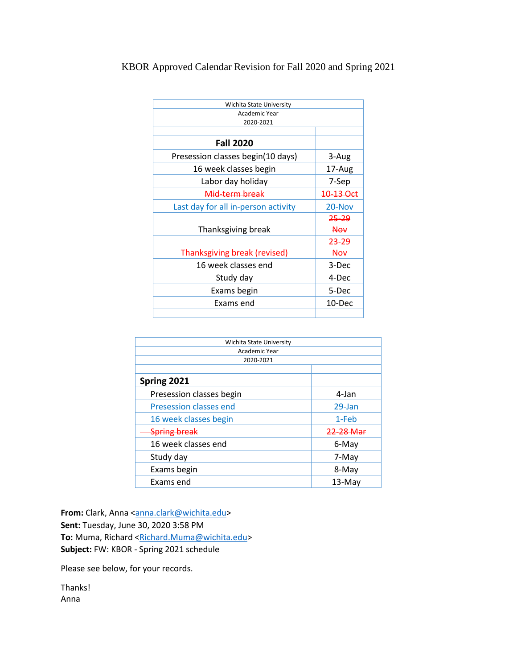## KBOR Approved Calendar Revision for Fall 2020 and Spring 2021

| Wichita State University            |            |
|-------------------------------------|------------|
| Academic Year                       |            |
| 2020-2021                           |            |
|                                     |            |
| <b>Fall 2020</b>                    |            |
| Presession classes begin(10 days)   | 3-Aug      |
| 16 week classes begin               | 17-Aug     |
| Labor day holiday                   | 7-Sep      |
| Mid-term break                      | 10-13 Oct  |
| Last day for all in-person activity | 20-Nov     |
|                                     | 25-29      |
| Thanksgiving break                  | <b>Nov</b> |
|                                     | 23-29      |
| Thanksgiving break (revised)        | <b>Nov</b> |
| 16 week classes end                 | 3-Dec      |
| Study day                           | 4-Dec      |
| Exams begin                         | 5-Dec      |
| Exams end                           | 10-Dec     |
|                                     |            |

| Wichita State University |           |
|--------------------------|-----------|
| Academic Year            |           |
| 2020-2021                |           |
|                          |           |
| Spring 2021              |           |
| Presession classes begin | 4-Jan     |
| Presession classes end   | 29-Jan    |
| 16 week classes begin    | 1-Feb     |
| <b>Spring break</b>      | 22-28 Mar |
| 16 week classes end      | 6-May     |
| Study day                | 7-May     |
| Exams begin              | 8-May     |
| Exams end                | $13-May$  |

From: Clark, Anna [<anna.clark@wichita.edu>](mailto:anna.clark@wichita.edu) **Sent:** Tuesday, June 30, 2020 3:58 PM To: Muma, Richard [<Richard.Muma@wichita.edu>](mailto:Richard.Muma@wichita.edu) **Subject:** FW: KBOR - Spring 2021 schedule

Please see below, for your records.

Thanks! Anna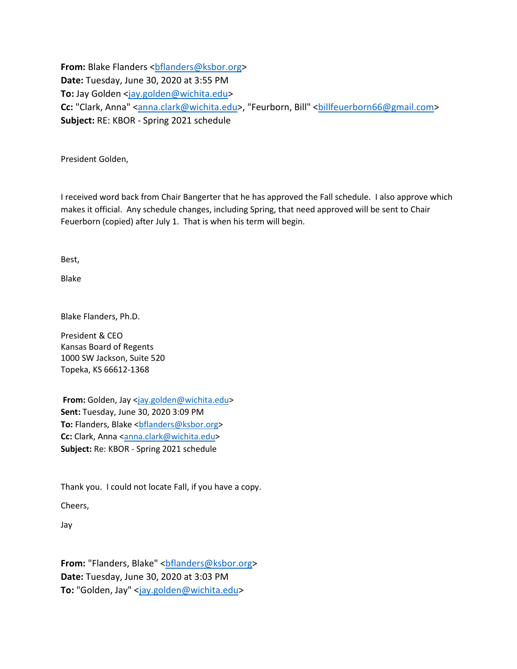From: Blake Flanders <br />
com: Blake Flanders<br />
combinations<br />
read<br />
read<br />
read<br />
read<br />
read<br />
read<br />
read<br />
read<br />
read<br />
read<br />
read<br />
read<br />
read<br />
read<b **Date:** Tuesday, June 30, 2020 at 3:55 PM **To:** Jay Golden [<jay.golden@wichita.edu>](mailto:jay.golden@wichita.edu) Cc: "Clark, Anna" [<anna.clark@wichita.edu>](mailto:anna.clark@wichita.edu), "Feurborn, Bill" <br/>billfeuerborn66@gmail.com> **Subject:** RE: KBOR - Spring 2021 schedule

President Golden,

I received word back from Chair Bangerter that he has approved the Fall schedule. I also approve which makes it official. Any schedule changes, including Spring, that need approved will be sent to Chair Feuerborn (copied) after July 1. That is when his term will begin.

Best,

Blake

Blake Flanders, Ph.D.

President & CEO Kansas Board of Regents 1000 SW Jackson, Suite 520 Topeka, KS 66612-1368

**From:** Golden, Jay [<jay.golden@wichita.edu>](mailto:jay.golden@wichita.edu) **Sent:** Tuesday, June 30, 2020 3:09 PM To: Flanders, Blake <br />bflanders@ksbor.org> **Cc:** Clark, Anna [<anna.clark@wichita.edu>](mailto:anna.clark@wichita.edu) **Subject:** Re: KBOR - Spring 2021 schedule

Thank you. I could not locate Fall, if you have a copy.

Cheers,

Jay

From: "Flanders, Blake" <br />
conders<br />
<br />
Letal<br />
derseaksbor.org> **Date:** Tuesday, June 30, 2020 at 3:03 PM **To:** "Golden, Jay" [<jay.golden@wichita.edu>](mailto:jay.golden@wichita.edu)